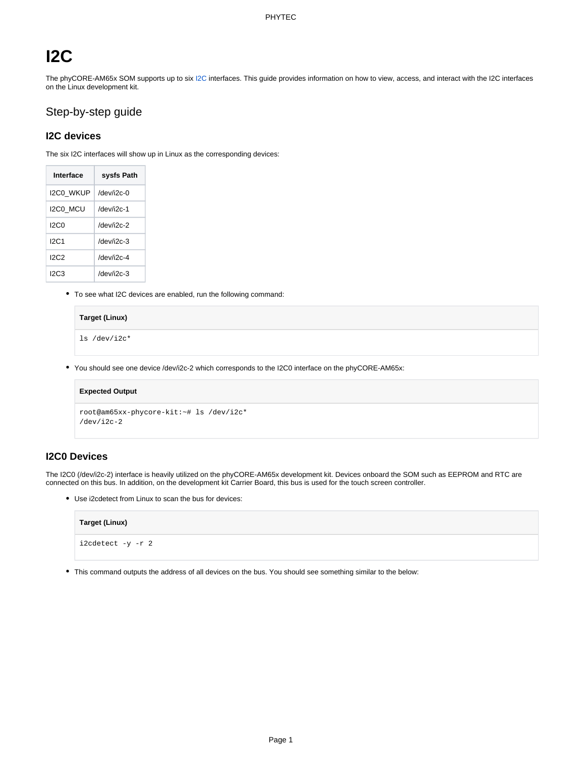# **I2C**

The phyCORE-AM65x SOM supports up to six [I2C](https://wiki.phytec.com/display/PRODUCTINFO/Definitions#Definitions-I2C) interfaces. This guide provides information on how to view, access, and interact with the I2C interfaces on the Linux development kit.

# Step-by-step guide

## **I2C devices**

The six I2C interfaces will show up in Linux as the corresponding devices:

| Interface        | sysfs Path        |
|------------------|-------------------|
| <b>I2CO WKUP</b> | $/$ dev/i2c-0     |
| I2C0 MCU         | /dev/i2c-1        |
| 12C.0            | /dev/i2c-2        |
| 12C <sub>1</sub> | $/$ dev/i $/$ c-3 |
| 12C2             | /dev/i2c-4        |
| 12C3             | $/$ dev/i2c-3     |

To see what I2C devices are enabled, run the following command:

### **Target (Linux)**

ls /dev/i2c\*

You should see one device /dev/i2c-2 which corresponds to the I2C0 interface on the phyCORE-AM65x:

# **Expected Output** root@am65xx-phycore-kit:~# ls /dev/i2c\* /dev/i2c-2

## **I2C0 Devices**

The I2C0 (/dev/i2c-2) interface is heavily utilized on the phyCORE-AM65x development kit. Devices onboard the SOM such as EEPROM and RTC are connected on this bus. In addition, on the development kit Carrier Board, this bus is used for the touch screen controller.

Use i2cdetect from Linux to scan the bus for devices:

| Target (Linux)    |  |
|-------------------|--|
| i2cdetect -y -r 2 |  |

This command outputs the address of all devices on the bus. You should see something similar to the below: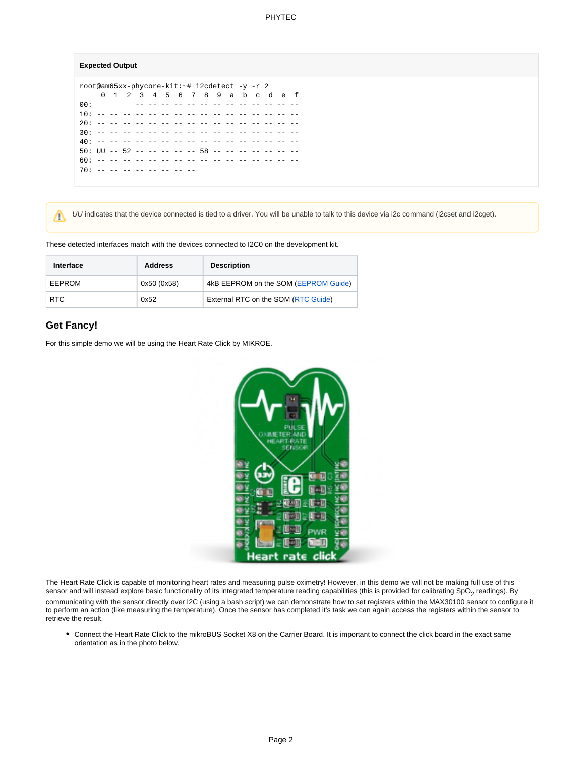#### **Expected Output**

root@am65xx-phycore-kit:~# i2cdetect -y -r 2 0 1 2 3 4 5 6 7 8 9 a b c d e f<br>00: 00: -- -- -- -- -- -- -- -- -- -- -- -- -- 10: -- -- -- -- -- -- -- -- -- -- -- -- -- -- -- -- 20: -- -- -- -- -- -- -- -- -- -- -- -- -- -- -- -- 30: -- -- -- -- -- -- -- -- -- -- -- -- -- -- -- -- 40: -- -- -- -- -- -- -- -- -- -- -- -- -- -- -- --  $50:$  UU --  $52$  -- -- -- -- --  $58$  -- -- -- -- -- -- --60: -- -- -- -- -- -- -- -- -- -- -- -- -- -- -- --  $70: - - - - - - - - - - - - - - - -$ 

UU indicates that the device connected is tied to a driver. You will be unable to talk to this device via i2c command (i2cset and i2cget).

These detected interfaces match with the devices connected to I2C0 on the development kit.

| Interface  | <b>Address</b> | <b>Description</b>                   |
|------------|----------------|--------------------------------------|
| EEPROM     | 0x50 (0x58)    | 4kB EEPROM on the SOM (EEPROM Guide) |
| <b>RTC</b> | 0x52           | External RTC on the SOM (RTC Guide)  |

### **Get Fancy!**

Δ

For this simple demo we will be using the Heart Rate Click by MIKROE.



The Heart Rate Click is capable of monitoring heart rates and measuring pulse oximetry! However, in this demo we will not be making full use of this sensor and will instead explore basic functionality of its integrated temperature reading capabilities (this is provided for calibrating SpO<sub>2</sub> readings). By communicating with the sensor directly over I2C (using a bash script) we can demonstrate how to set registers within the MAX30100 sensor to configure it to perform an action (like measuring the temperature). Once the sensor has completed it's task we can again access the registers within the sensor to retrieve the result.

Connect the Heart Rate Click to the mikroBUS Socket X8 on the Carrier Board. It is important to connect the click board in the exact same orientation as in the photo below.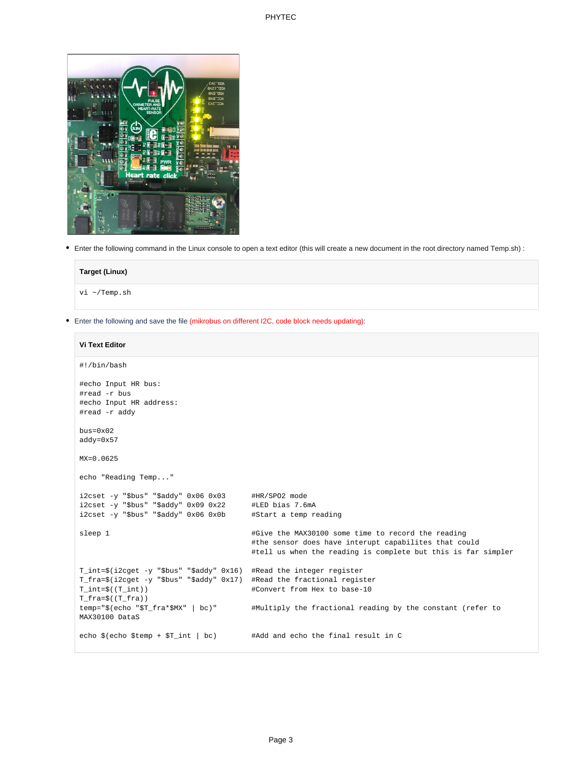#### PHYTEC



Δ

Enter the following command in the Linux console to open a text editor (this will create a new document in the root directory named Temp.sh) :

| <b>Target (Linux)</b> |  |  |
|-----------------------|--|--|
| vi ~/Temp.sh          |  |  |
|                       |  |  |

Enter the following and save the file (mikrobus on different I2C, code block needs updating):

# **Vi Text Editor** #!/bin/bash #echo Input HR bus: #read -r bus #echo Input HR address: #read -r addy bus=0x02 addy=0x57 MX=0.0625 echo "Reading Temp..." i2cset -y "\$bus" "\$addy" 0x06 0x03 #HR/SPO2 mode i2cset -y "\$bus" "\$addy" 0x09 0x22 #LED bias 7.6mA i2cset -y "\$bus" "\$addy" 0x06 0x0b #Start a temp reading sleep 1  $\#$ Give the MAX30100 some time to record the reading #the sensor does have interupt capabilites that could #tell us when the reading is complete but this is far simpler T\_int=\$(i2cget -y "\$bus" "\$addy" 0x16) #Read the integer register T\_fra=\$(i2cget -y "\$bus" "\$addy" 0x17) #Read the fractional register T\_int=\$((T\_int)) #Convert from Hex to base-10 T\_fra=\$((T\_fra)) temp="\$(echo "\$T\_fra\*\$MX" | bc)" #Multiply the fractional reading by the constant (refer to MAX30100 DataS echo \$(echo \$temp + \$T\_int | bc) #Add and echo the final result in C